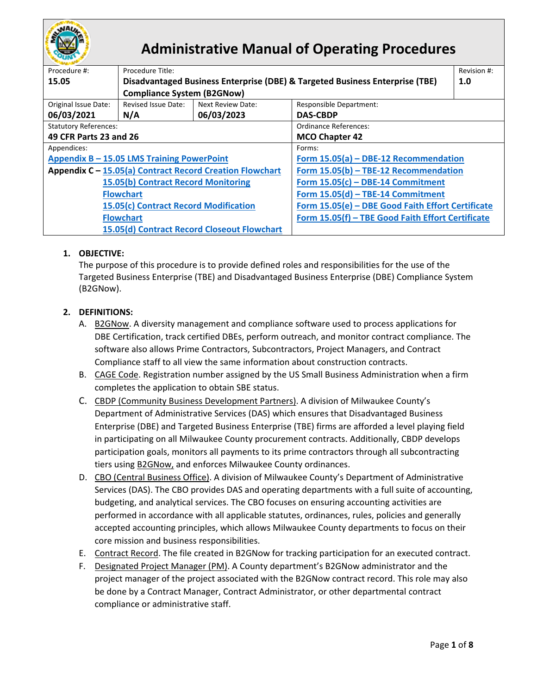

# **Administrative Manual of Operating Procedures**

| Procedure #:                                             | Procedure Title:                                                             |                                             | Revision #:                                       |  |  |  |
|----------------------------------------------------------|------------------------------------------------------------------------------|---------------------------------------------|---------------------------------------------------|--|--|--|
| 15.05                                                    | Disadvantaged Business Enterprise (DBE) & Targeted Business Enterprise (TBE) |                                             | 1.0                                               |  |  |  |
|                                                          | <b>Compliance System (B2GNow)</b>                                            |                                             |                                                   |  |  |  |
| Original Issue Date:                                     | Revised Issue Date:                                                          | Next Review Date:                           | <b>Responsible Department:</b>                    |  |  |  |
| 06/03/2021                                               | N/A                                                                          | 06/03/2023                                  | <b>DAS-CBDP</b>                                   |  |  |  |
| <b>Statutory References:</b>                             |                                                                              |                                             | Ordinance References:                             |  |  |  |
| 49 CFR Parts 23 and 26                                   |                                                                              |                                             | <b>MCO Chapter 42</b>                             |  |  |  |
| Appendices:                                              |                                                                              |                                             | Forms:                                            |  |  |  |
| Appendix B - 15.05 LMS Training PowerPoint               |                                                                              |                                             | Form 15.05(a) - DBE-12 Recommendation             |  |  |  |
| Appendix C - 15.05(a) Contract Record Creation Flowchart |                                                                              |                                             | Form 15.05(b) - TBE-12 Recommendation             |  |  |  |
| 15.05(b) Contract Record Monitoring                      |                                                                              |                                             | Form $15.05(c)$ – DBE-14 Commitment               |  |  |  |
| <b>Flowchart</b>                                         |                                                                              |                                             | Form 15.05(d) - TBE-14 Commitment                 |  |  |  |
| 15.05(c) Contract Record Modification                    |                                                                              |                                             | Form 15.05(e) - DBE Good Faith Effort Certificate |  |  |  |
| <b>Flowchart</b>                                         |                                                                              |                                             | Form 15.05(f) - TBE Good Faith Effort Certificate |  |  |  |
|                                                          |                                                                              | 15.05(d) Contract Record Closeout Flowchart |                                                   |  |  |  |

## **1. OBJECTIVE:**

The purpose of this procedure is to provide defined roles and responsibilities for the use of the Targeted Business Enterprise (TBE) and Disadvantaged Business Enterprise (DBE) Compliance System (B2GNow).

## **2. DEFINITIONS:**

- A. [B2GNow.](https://mke.diversitycompliance.com/Default.asp) A diversity management and compliance software used to process applications for DBE Certification, track certified DBEs, perform outreach, and monitor contract compliance. The software also allows Prime Contractors, Subcontractors, Project Managers, and Contract Compliance staff to all view the same information about construction contracts.
- B. CAGE Code. Registration number assigned by the US Small Business Administration when a firm completes the application to obtain SBE status.
- C. CBDP (Community Business Development Partners). A division of Milwaukee County's Department of Administrative Services (DAS) which ensures that Disadvantaged Business Enterprise (DBE) and Targeted Business Enterprise (TBE) firms are afforded a level playing field in participating on all Milwaukee County procurement contracts. Additionally, CBDP develops participation goals, monitors all payments to its prime contractors through all subcontracting tiers using [B2GNow,](https://mke.diversitycompliance.com/Default.asp) and enforces Milwaukee County ordinances.
- D. CBO (Central Business Office). A division of Milwaukee County's Department of Administrative Services (DAS). The CBO provides DAS and operating departments with a full suite of accounting, budgeting, and analytical services. The CBO focuses on ensuring accounting activities are performed in accordance with all applicable statutes, ordinances, rules, policies and generally accepted accounting principles, which allows Milwaukee County departments to focus on their core mission and business responsibilities.
- E. Contract Record. The file created in B2GNow for tracking participation for an executed contract.
- F. Designated Project Manager (PM). A County department's B2GNow administrator and the project manager of the project associated with the B2GNow contract record. This role may also be done by a Contract Manager, Contract Administrator, or other departmental contract compliance or administrative staff.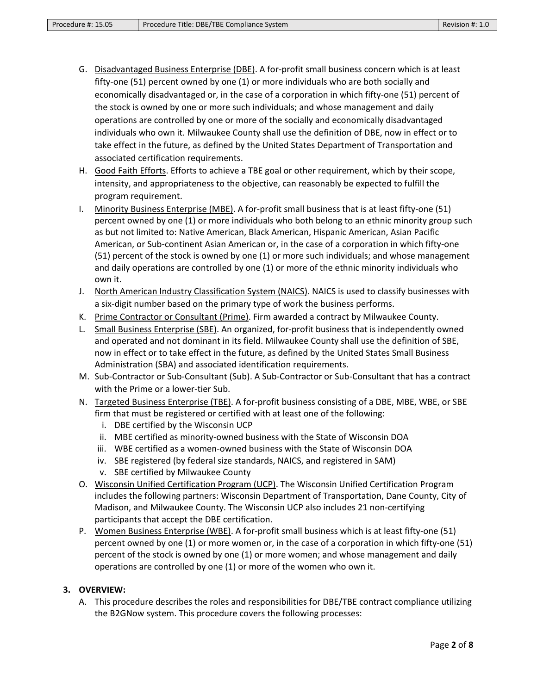- G. Disadvantaged Business Enterprise (DBE). A for-profit small business concern which is at least fifty-one (51) percent owned by one (1) or more individuals who are both socially and economically disadvantaged or, in the case of a corporation in which fifty-one (51) percent of the stock is owned by one or more such individuals; and whose management and daily operations are controlled by one or more of the socially and economically disadvantaged individuals who own it. Milwaukee County shall use the definition of DBE, now in effect or to take effect in the future, as defined by the United States Department of Transportation and associated certification requirements.
- H. Good Faith Efforts. Efforts to achieve a TBE goal or other requirement, which by their scope, intensity, and appropriateness to the objective, can reasonably be expected to fulfill the program requirement.
- I. Minority Business Enterprise (MBE). A for-profit small business that is at least fifty-one (51) percent owned by one (1) or more individuals who both belong to an ethnic minority group such as but not limited to: Native American, Black American, Hispanic American, Asian Pacific American, or Sub-continent Asian American or, in the case of a corporation in which fifty-one (51) percent of the stock is owned by one (1) or more such individuals; and whose management and daily operations are controlled by one (1) or more of the ethnic minority individuals who own it.
- J. North American Industry Classification System (NAICS). NAICS is used to classify businesses with a six-digit number based on the primary type of work the business performs.
- K. Prime Contractor or Consultant (Prime). Firm awarded a contract by Milwaukee County.
- L. Small Business Enterprise (SBE). An organized, for-profit business that is independently owned and operated and not dominant in its field. Milwaukee County shall use the definition of SBE, now in effect or to take effect in the future, as defined by the United States Small Business Administration (SBA) and associated identification requirements.
- M. Sub-Contractor or Sub-Consultant (Sub). A Sub-Contractor or Sub-Consultant that has a contract with the Prime or a lower-tier Sub.
- N. Targeted Business Enterprise (TBE). A for-profit business consisting of a DBE, MBE, WBE, or SBE firm that must be registered or certified with at least one of the following:
	- i. DBE certified by the Wisconsin UCP
	- ii. MBE certified as minority-owned business with the State of Wisconsin DOA
	- iii. WBE certified as a women-owned business with the State of Wisconsin DOA
	- iv. SBE registered (by federal size standards, NAICS, and registered in SAM)
	- v. SBE certified by Milwaukee County
- O. Wisconsin Unified Certification Program (UCP). The Wisconsin Unified Certification Program includes the following partners: Wisconsin Department of Transportation, Dane County, City of Madison, and Milwaukee County. The Wisconsin UCP also includes 21 non-certifying participants that accept the DBE certification.
- P. Women Business Enterprise (WBE). A for-profit small business which is at least fifty-one (51) percent owned by one (1) or more women or, in the case of a corporation in which fifty-one (51) percent of the stock is owned by one (1) or more women; and whose management and daily operations are controlled by one (1) or more of the women who own it.

#### **3. OVERVIEW:**

A. This procedure describes the roles and responsibilities for DBE/TBE contract compliance utilizing the B2GNow system. This procedure covers the following processes: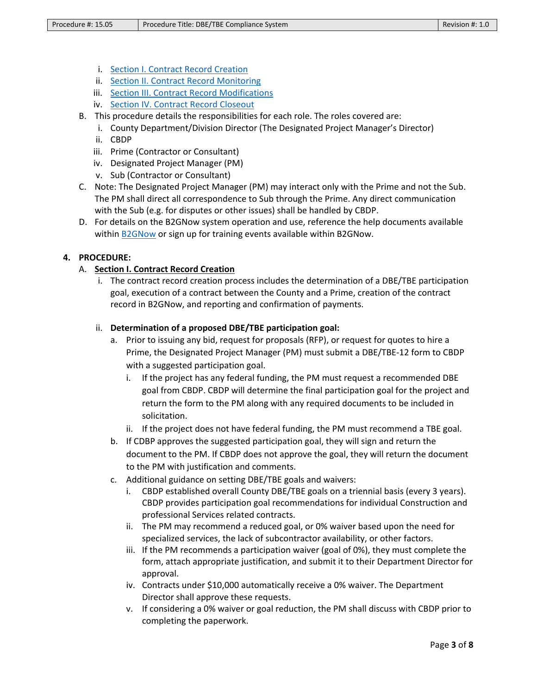- i. [Section I. Contract Record Creation](#page-2-0)
- ii. [Section II. Contract Record Monitoring](#page-4-0)
- iii. [Section III. Contract Record Modifications](#page-5-0)
- iv. [Section IV. Contract Record Closeout](#page-6-0)
- B. This procedure details the responsibilities for each role. The roles covered are:
	- i. County Department/Division Director (The Designated Project Manager's Director)
	- ii. CBDP
	- iii. Prime (Contractor or Consultant)
	- iv. Designated Project Manager (PM)
	- v. Sub (Contractor or Consultant)
- C. Note: The Designated Project Manager (PM) may interact only with the Prime and not the Sub. The PM shall direct all correspondence to Sub through the Prime. Any direct communication with the Sub (e.g. for disputes or other issues) shall be handled by CBDP.
- D. For details on the B2GNow system operation and use, reference the help documents available within **B2GNow** or sign up for training events available withi[n B2GNow](https://mke.diversitycompliance.com/Default.asp).

## <span id="page-2-0"></span>**4. PROCEDURE:**

### A. **Section I. Contract Record Creation**

i. The contract record creation process includes the determination of a DBE/TBE participation goal, execution of a contract between the County and a Prime, creation of the contract record in B2GNow, and reporting and confirmation of payments.

### ii. **Determination of a proposed DBE/TBE participation goal:**

- a. Prior to issuing any bid, request for proposals (RFP), or request for quotes to hire a Prime, the Designated Project Manager (PM) must submit a DBE/TBE-12 form to CBDP with a suggested participation goal.
	- i. If the project has any federal funding, the PM must request a recommended DBE goal from CBDP. CBDP will determine the final participation goal for the project and return the form to the PM along with any required documents to be included in solicitation.
	- ii. If the project does not have federal funding, the PM must recommend a TBE goal.
- b. If CDBP approves the suggested participation goal, they will sign and return the document to the PM. If CBDP does not approve the goal, they will return the document to the PM with justification and comments.
- c. Additional guidance on setting DBE/TBE goals and waivers:
	- i. CBDP established overall County DBE/TBE goals on a triennial basis (every 3 years). CBDP provides participation goal recommendations for individual Construction and professional Services related contracts.
	- ii. The PM may recommend a reduced goal, or 0% waiver based upon the need for specialized services, the lack of subcontractor availability, or other factors.
	- iii. If the PM recommends a participation waiver (goal of 0%), they must complete the form, attach appropriate justification, and submit it to their Department Director for approval.
	- iv. Contracts under \$10,000 automatically receive a 0% waiver. The Department Director shall approve these requests.
	- v. If considering a 0% waiver or goal reduction, the PM shall discuss with CBDP prior to completing the paperwork.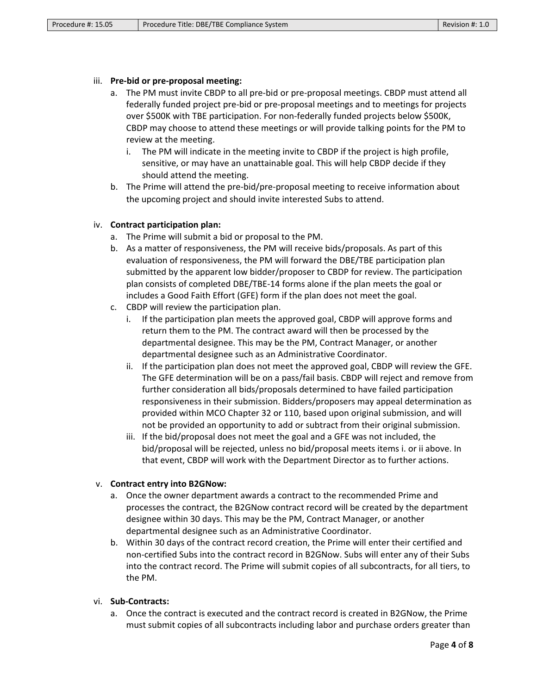#### iii. **Pre-bid or pre-proposal meeting:**

- a. The PM must invite CBDP to all pre-bid or pre-proposal meetings. CBDP must attend all federally funded project pre-bid or pre-proposal meetings and to meetings for projects over \$500K with TBE participation. For non-federally funded projects below \$500K, CBDP may choose to attend these meetings or will provide talking points for the PM to review at the meeting.
	- i. The PM will indicate in the meeting invite to CBDP if the project is high profile, sensitive, or may have an unattainable goal. This will help CBDP decide if they should attend the meeting.
- b. The Prime will attend the pre-bid/pre-proposal meeting to receive information about the upcoming project and should invite interested Subs to attend.

### iv. **Contract participation plan:**

- a. The Prime will submit a bid or proposal to the PM.
- b. As a matter of responsiveness, the PM will receive bids/proposals. As part of this evaluation of responsiveness, the PM will forward the DBE/TBE participation plan submitted by the apparent low bidder/proposer to CBDP for review. The participation plan consists of completed DBE/TBE-14 forms alone if the plan meets the goal or includes a Good Faith Effort (GFE) form if the plan does not meet the goal.
- c. CBDP will review the participation plan.
	- i. If the participation plan meets the approved goal, CBDP will approve forms and return them to the PM. The contract award will then be processed by the departmental designee. This may be the PM, Contract Manager, or another departmental designee such as an Administrative Coordinator.
	- ii. If the participation plan does not meet the approved goal, CBDP will review the GFE. The GFE determination will be on a pass/fail basis. CBDP will reject and remove from further consideration all bids/proposals determined to have failed participation responsiveness in their submission. Bidders/proposers may appeal determination as provided within MCO Chapter 32 or 110, based upon original submission, and will not be provided an opportunity to add or subtract from their original submission.
	- iii. If the bid/proposal does not meet the goal and a GFE was not included, the bid/proposal will be rejected, unless no bid/proposal meets items i. or ii above. In that event, CBDP will work with the Department Director as to further actions.

### v. **Contract entry into B2GNow:**

- a. Once the owner department awards a contract to the recommended Prime and processes the contract, the B2GNow contract record will be created by the department designee within 30 days. This may be the PM, Contract Manager, or another departmental designee such as an Administrative Coordinator.
- b. Within 30 days of the contract record creation, the Prime will enter their certified and non-certified Subs into the contract record in B2GNow. Subs will enter any of their Subs into the contract record. The Prime will submit copies of all subcontracts, for all tiers, to the PM.

#### vi. **Sub-Contracts:**

a. Once the contract is executed and the contract record is created in B2GNow, the Prime must submit copies of all subcontracts including labor and purchase orders greater than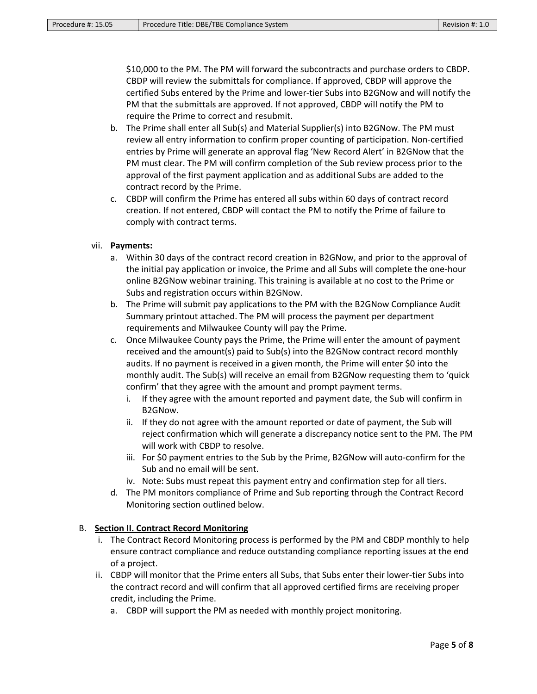\$10,000 to the PM. The PM will forward the subcontracts and purchase orders to CBDP. CBDP will review the submittals for compliance. If approved, CBDP will approve the certified Subs entered by the Prime and lower-tier Subs into B2GNow and will notify the PM that the submittals are approved. If not approved, CBDP will notify the PM to require the Prime to correct and resubmit.

- b. The Prime shall enter all Sub(s) and Material Supplier(s) into B2GNow. The PM must review all entry information to confirm proper counting of participation. Non-certified entries by Prime will generate an approval flag 'New Record Alert' in B2GNow that the PM must clear. The PM will confirm completion of the Sub review process prior to the approval of the first payment application and as additional Subs are added to the contract record by the Prime.
- c. CBDP will confirm the Prime has entered all subs within 60 days of contract record creation. If not entered, CBDP will contact the PM to notify the Prime of failure to comply with contract terms.

#### vii. **Payments:**

- a. Within 30 days of the contract record creation in B2GNow, and prior to the approval of the initial pay application or invoice, the Prime and all Subs will complete the one-hour online B2GNow webinar training. This training is available at no cost to the Prime or Subs and registration occurs within B2GNow.
- b. The Prime will submit pay applications to the PM with the B2GNow Compliance Audit Summary printout attached. The PM will process the payment per department requirements and Milwaukee County will pay the Prime.
- c. Once Milwaukee County pays the Prime, the Prime will enter the amount of payment received and the amount(s) paid to Sub(s) into the B2GNow contract record monthly audits. If no payment is received in a given month, the Prime will enter \$0 into the monthly audit. The Sub(s) will receive an email from B2GNow requesting them to 'quick confirm' that they agree with the amount and prompt payment terms.
	- i. If they agree with the amount reported and payment date, the Sub will confirm in B2GNow.
	- ii. If they do not agree with the amount reported or date of payment, the Sub will reject confirmation which will generate a discrepancy notice sent to the PM. The PM will work with CBDP to resolve.
	- iii. For \$0 payment entries to the Sub by the Prime, B2GNow will auto-confirm for the Sub and no email will be sent.
	- iv. Note: Subs must repeat this payment entry and confirmation step for all tiers.
- d. The PM monitors compliance of Prime and Sub reporting through the Contract Record Monitoring section outlined below.

#### <span id="page-4-0"></span>B. **Section II. Contract Record Monitoring**

- i. The Contract Record Monitoring process is performed by the PM and CBDP monthly to help ensure contract compliance and reduce outstanding compliance reporting issues at the end of a project.
- ii. CBDP will monitor that the Prime enters all Subs, that Subs enter their lower-tier Subs into the contract record and will confirm that all approved certified firms are receiving proper credit, including the Prime.
	- a. CBDP will support the PM as needed with monthly project monitoring.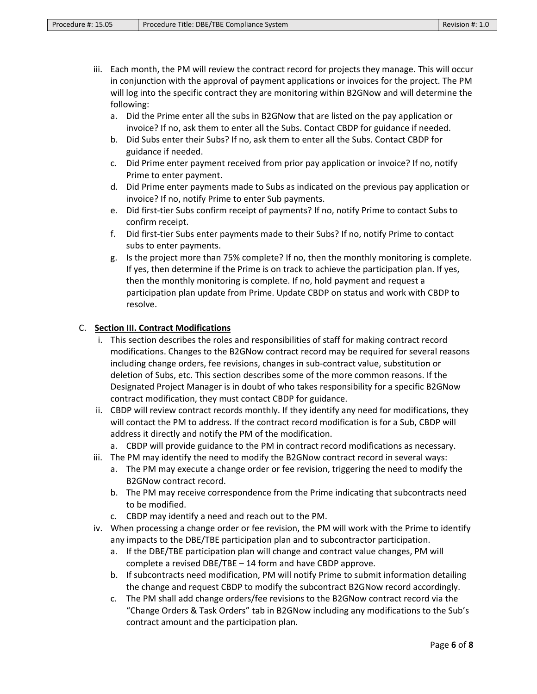- iii. Each month, the PM will review the contract record for projects they manage. This will occur in conjunction with the approval of payment applications or invoices for the project. The PM will log into the specific contract they are monitoring within B2GNow and will determine the following:
	- a. Did the Prime enter all the subs in B2GNow that are listed on the pay application or invoice? If no, ask them to enter all the Subs. Contact CBDP for guidance if needed.
	- b. Did Subs enter their Subs? If no, ask them to enter all the Subs. Contact CBDP for guidance if needed.
	- c. Did Prime enter payment received from prior pay application or invoice? If no, notify Prime to enter payment.
	- d. Did Prime enter payments made to Subs as indicated on the previous pay application or invoice? If no, notify Prime to enter Sub payments.
	- e. Did first-tier Subs confirm receipt of payments? If no, notify Prime to contact Subs to confirm receipt.
	- f. Did first-tier Subs enter payments made to their Subs? If no, notify Prime to contact subs to enter payments.
	- g. Is the project more than 75% complete? If no, then the monthly monitoring is complete. If yes, then determine if the Prime is on track to achieve the participation plan. If yes, then the monthly monitoring is complete. If no, hold payment and request a participation plan update from Prime. Update CBDP on status and work with CBDP to resolve.

## <span id="page-5-0"></span>C. **Section III. Contract Modifications**

- i. This section describes the roles and responsibilities of staff for making contract record modifications. Changes to the B2GNow contract record may be required for several reasons including change orders, fee revisions, changes in sub-contract value, substitution or deletion of Subs, etc. This section describes some of the more common reasons. If the Designated Project Manager is in doubt of who takes responsibility for a specific B2GNow contract modification, they must contact CBDP for guidance.
- ii. CBDP will review contract records monthly. If they identify any need for modifications, they will contact the PM to address. If the contract record modification is for a Sub, CBDP will address it directly and notify the PM of the modification.
	- a. CBDP will provide guidance to the PM in contract record modifications as necessary.
- iii. The PM may identify the need to modify the B2GNow contract record in several ways:
	- a. The PM may execute a change order or fee revision, triggering the need to modify the B2GNow contract record.
	- b. The PM may receive correspondence from the Prime indicating that subcontracts need to be modified.
	- c. CBDP may identify a need and reach out to the PM.
- iv. When processing a change order or fee revision, the PM will work with the Prime to identify any impacts to the DBE/TBE participation plan and to subcontractor participation.
	- a. If the DBE/TBE participation plan will change and contract value changes, PM will complete a revised DBE/TBE – 14 form and have CBDP approve.
	- b. If subcontracts need modification, PM will notify Prime to submit information detailing the change and request CBDP to modify the subcontract B2GNow record accordingly.
	- c. The PM shall add change orders/fee revisions to the B2GNow contract record via the "Change Orders & Task Orders" tab in B2GNow including any modifications to the Sub's contract amount and the participation plan.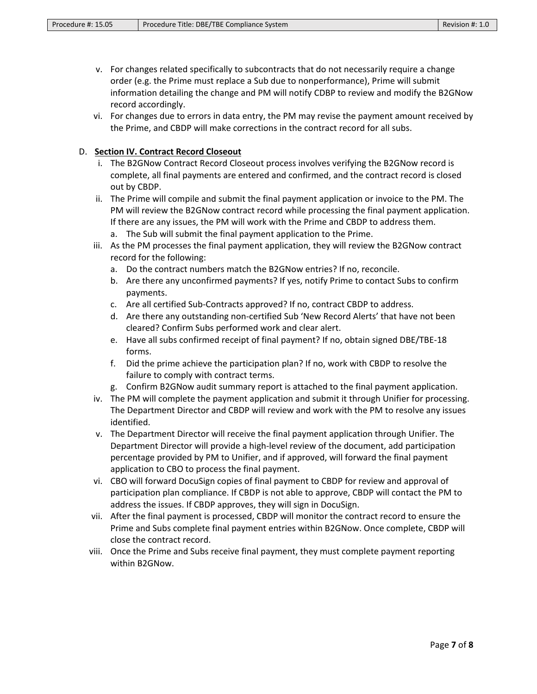- v. For changes related specifically to subcontracts that do not necessarily require a change order (e.g. the Prime must replace a Sub due to nonperformance), Prime will submit information detailing the change and PM will notify CDBP to review and modify the B2GNow record accordingly.
- vi. For changes due to errors in data entry, the PM may revise the payment amount received by the Prime, and CBDP will make corrections in the contract record for all subs.

### <span id="page-6-0"></span>D. **Section IV. Contract Record Closeout**

- i. The B2GNow Contract Record Closeout process involves verifying the B2GNow record is complete, all final payments are entered and confirmed, and the contract record is closed out by CBDP.
- ii. The Prime will compile and submit the final payment application or invoice to the PM. The PM will review the B2GNow contract record while processing the final payment application. If there are any issues, the PM will work with the Prime and CBDP to address them.
	- a. The Sub will submit the final payment application to the Prime.
- iii. As the PM processes the final payment application, they will review the B2GNow contract record for the following:
	- a. Do the contract numbers match the B2GNow entries? If no, reconcile.
	- b. Are there any unconfirmed payments? If yes, notify Prime to contact Subs to confirm payments.
	- c. Are all certified Sub-Contracts approved? If no, contract CBDP to address.
	- d. Are there any outstanding non-certified Sub 'New Record Alerts' that have not been cleared? Confirm Subs performed work and clear alert.
	- e. Have all subs confirmed receipt of final payment? If no, obtain signed DBE/TBE-18 forms.
	- f. Did the prime achieve the participation plan? If no, work with CBDP to resolve the failure to comply with contract terms.
	- g. Confirm B2GNow audit summary report is attached to the final payment application.
- iv. The PM will complete the payment application and submit it through Unifier for processing. The Department Director and CBDP will review and work with the PM to resolve any issues identified.
- v. The Department Director will receive the final payment application through Unifier. The Department Director will provide a high-level review of the document, add participation percentage provided by PM to Unifier, and if approved, will forward the final payment application to CBO to process the final payment.
- vi. CBO will forward DocuSign copies of final payment to CBDP for review and approval of participation plan compliance. If CBDP is not able to approve, CBDP will contact the PM to address the issues. If CBDP approves, they will sign in DocuSign.
- vii. After the final payment is processed, CBDP will monitor the contract record to ensure the Prime and Subs complete final payment entries within B2GNow. Once complete, CBDP will close the contract record.
- viii. Once the Prime and Subs receive final payment, they must complete payment reporting within B2GNow.